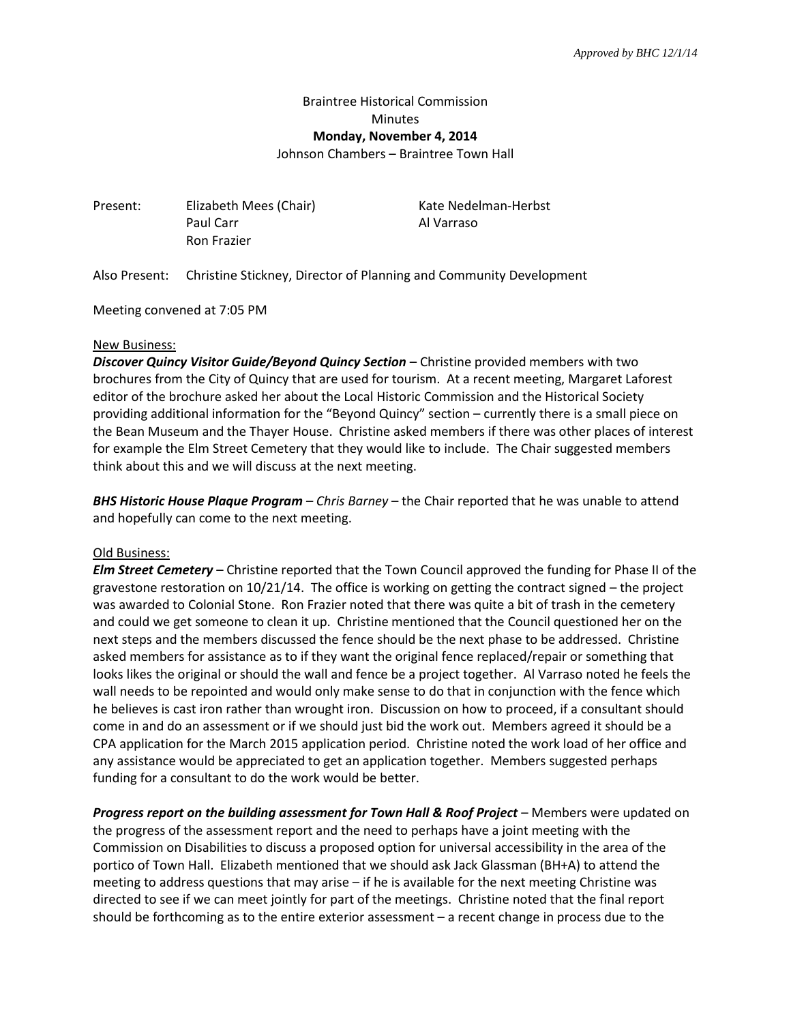## Braintree Historical Commission Minutes **Monday, November 4, 2014** Johnson Chambers – Braintree Town Hall

Present: Elizabeth Mees (Chair) Kate Nedelman-Herbst Paul Carr Al Varraso Ron Frazier

Also Present: Christine Stickney, Director of Planning and Community Development

Meeting convened at 7:05 PM

## New Business:

*Discover Quincy Visitor Guide/Beyond Quincy Section* – Christine provided members with two brochures from the City of Quincy that are used for tourism. At a recent meeting, Margaret Laforest editor of the brochure asked her about the Local Historic Commission and the Historical Society providing additional information for the "Beyond Quincy" section – currently there is a small piece on the Bean Museum and the Thayer House. Christine asked members if there was other places of interest for example the Elm Street Cemetery that they would like to include. The Chair suggested members think about this and we will discuss at the next meeting.

*BHS Historic House Plaque Program – Chris Barney* – the Chair reported that he was unable to attend and hopefully can come to the next meeting.

## Old Business:

*Elm Street Cemetery* – Christine reported that the Town Council approved the funding for Phase II of the gravestone restoration on 10/21/14. The office is working on getting the contract signed – the project was awarded to Colonial Stone. Ron Frazier noted that there was quite a bit of trash in the cemetery and could we get someone to clean it up. Christine mentioned that the Council questioned her on the next steps and the members discussed the fence should be the next phase to be addressed. Christine asked members for assistance as to if they want the original fence replaced/repair or something that looks likes the original or should the wall and fence be a project together. Al Varraso noted he feels the wall needs to be repointed and would only make sense to do that in conjunction with the fence which he believes is cast iron rather than wrought iron. Discussion on how to proceed, if a consultant should come in and do an assessment or if we should just bid the work out. Members agreed it should be a CPA application for the March 2015 application period. Christine noted the work load of her office and any assistance would be appreciated to get an application together. Members suggested perhaps funding for a consultant to do the work would be better.

Progress report on the building assessment for Town Hall & Roof Project - Members were updated on the progress of the assessment report and the need to perhaps have a joint meeting with the Commission on Disabilities to discuss a proposed option for universal accessibility in the area of the portico of Town Hall. Elizabeth mentioned that we should ask Jack Glassman (BH+A) to attend the meeting to address questions that may arise – if he is available for the next meeting Christine was directed to see if we can meet jointly for part of the meetings. Christine noted that the final report should be forthcoming as to the entire exterior assessment – a recent change in process due to the